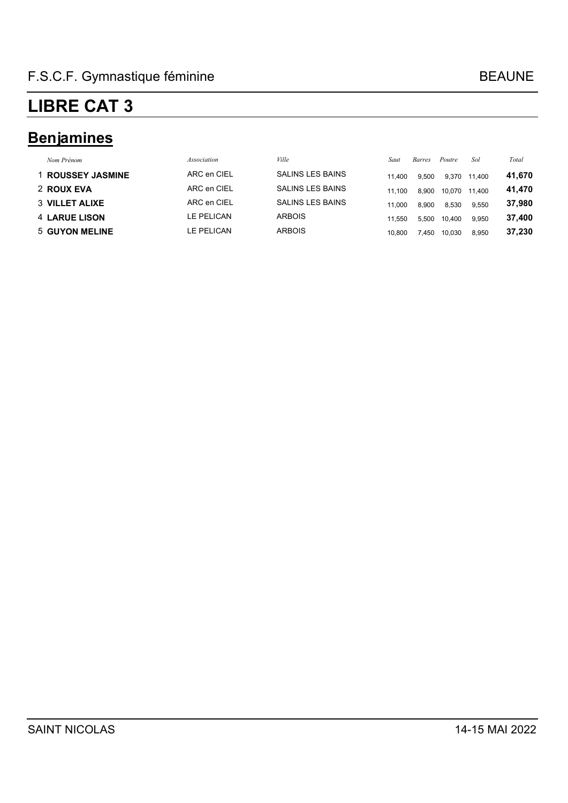### **Benjamines**

| Nom Prénom            | Association | Ville                   | Saut   | Barres | Poutre | Sol    | Total  |
|-----------------------|-------------|-------------------------|--------|--------|--------|--------|--------|
| 1 ROUSSEY JASMINE     | ARC en CIEL | <b>SALINS LES BAINS</b> | 11.400 | 9.500  | 9.370  | 11.400 | 41,670 |
| 2 ROUX EVA            | ARC en CIEL | SALINS LES BAINS        | 11.100 | 8.900  | 10,070 | 11.400 | 41,470 |
| <b>3 VILLET ALIXE</b> | ARC en CIEL | <b>SALINS LES BAINS</b> | 11.000 | 8.900  | 8.530  | 9.550  | 37,980 |
| <b>4 LARUE LISON</b>  | LE PELICAN  | <b>ARBOIS</b>           | 11.550 | 5.500  | 10.400 | 9.950  | 37.400 |
| 5 GUYON MELINE        | LE PELICAN  | <b>ARBOIS</b>           | 10.800 | .450   | 10.030 | 8.950  | 37,230 |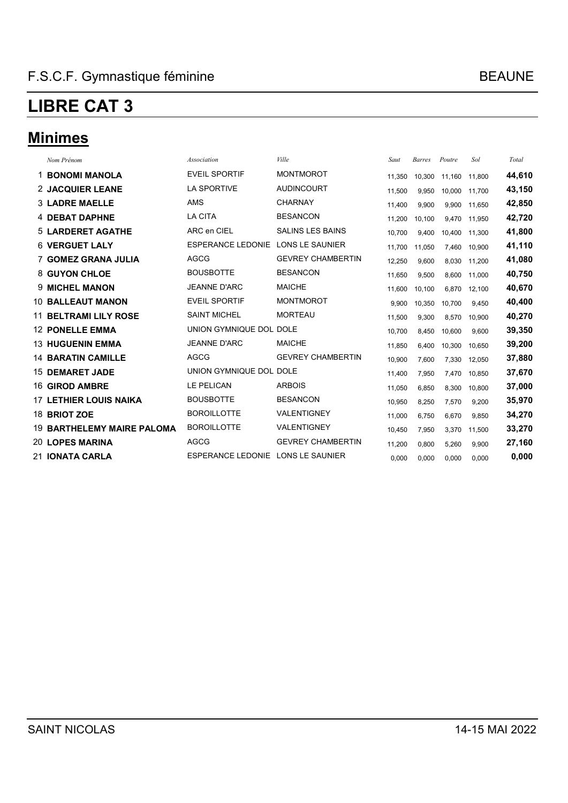### **Minimes**

| Nom Prénom                        | <b>Association</b>                | Ville                    | Saut   | <b>Barres</b> | Poutre | Sol    | Total  |
|-----------------------------------|-----------------------------------|--------------------------|--------|---------------|--------|--------|--------|
| <b>1 BONOMI MANOLA</b>            | <b>EVEIL SPORTIF</b>              | <b>MONTMOROT</b>         | 11,350 | 10,300        | 11,160 | 11,800 | 44,610 |
| 2 JACQUIER LEANE                  | <b>LA SPORTIVE</b>                | <b>AUDINCOURT</b>        | 11,500 | 9,950         | 10.000 | 11,700 | 43,150 |
| <b>3 LADRE MAELLE</b>             | <b>AMS</b>                        | <b>CHARNAY</b>           | 11,400 | 9,900         | 9.900  | 11.650 | 42,850 |
| <b>4 DEBAT DAPHNE</b>             | <b>LA CITA</b>                    | <b>BESANCON</b>          | 11.200 | 10.100        | 9.470  | 11.950 | 42,720 |
| <b>5 LARDERET AGATHE</b>          | ARC en CIEL                       | <b>SALINS LES BAINS</b>  | 10,700 | 9,400         | 10,400 | 11,300 | 41,800 |
| <b>6 VERGUET LALY</b>             | <b>ESPERANCE LEDONIE</b>          | <b>LONS LE SAUNIER</b>   | 11,700 | 11,050        | 7,460  | 10.900 | 41,110 |
| <b>7 GOMEZ GRANA JULIA</b>        | <b>AGCG</b>                       | <b>GEVREY CHAMBERTIN</b> | 12,250 | 9,600         | 8,030  | 11,200 | 41,080 |
| 8 GUYON CHLOE                     | <b>BOUSBOTTE</b>                  | <b>BESANCON</b>          | 11,650 | 9,500         | 8.600  | 11.000 | 40,750 |
| <b>9 MICHEL MANON</b>             | <b>JEANNE D'ARC</b>               | <b>MAICHE</b>            | 11,600 | 10.100        | 6.870  | 12.100 | 40,670 |
| <b>10 BALLEAUT MANON</b>          | <b>EVEIL SPORTIF</b>              | <b>MONTMOROT</b>         | 9,900  | 10,350        | 10,700 | 9,450  | 40,400 |
| <b>11 BELTRAMI LILY ROSE</b>      | <b>SAINT MICHEL</b>               | <b>MORTEAU</b>           | 11,500 | 9,300         | 8,570  | 10,900 | 40,270 |
| <b>12 PONELLE EMMA</b>            | UNION GYMNIQUE DOL DOLE           |                          | 10,700 | 8,450         | 10,600 | 9,600  | 39,350 |
| <b>13 HUGUENIN EMMA</b>           | <b>JEANNE D'ARC</b>               | <b>MAICHE</b>            | 11,850 | 6.400         | 10.300 | 10,650 | 39,200 |
| <b>14 BARATIN CAMILLE</b>         | <b>AGCG</b>                       | <b>GEVREY CHAMBERTIN</b> | 10,900 | 7,600         | 7,330  | 12,050 | 37,880 |
| <b>15 DEMARET JADE</b>            | UNION GYMNIQUE DOL DOLE           |                          | 11,400 | 7,950         | 7,470  | 10.850 | 37,670 |
| <b>16 GIROD AMBRE</b>             | LE PELICAN                        | <b>ARBOIS</b>            | 11,050 | 6,850         | 8,300  | 10.800 | 37,000 |
| <b>17 LETHIER LOUIS NAIKA</b>     | <b>BOUSBOTTE</b>                  | <b>BESANCON</b>          | 10,950 | 8,250         | 7,570  | 9,200  | 35,970 |
| 18 BRIOT ZOE                      | <b>BOROILLOTTE</b>                | <b>VALENTIGNEY</b>       | 11,000 | 6,750         | 6,670  | 9,850  | 34,270 |
| <b>19 BARTHELEMY MAIRE PALOMA</b> | <b>BOROILLOTTE</b>                | <b>VALENTIGNEY</b>       | 10,450 | 7,950         | 3,370  | 11,500 | 33,270 |
| <b>20 LOPES MARINA</b>            | <b>AGCG</b>                       | <b>GEVREY CHAMBERTIN</b> | 11,200 | 0,800         | 5,260  | 9,900  | 27,160 |
| 21 IONATA CARLA                   | ESPERANCE LEDONIE LONS LE SAUNIER |                          | 0,000  | 0,000         | 0,000  | 0,000  | 0,000  |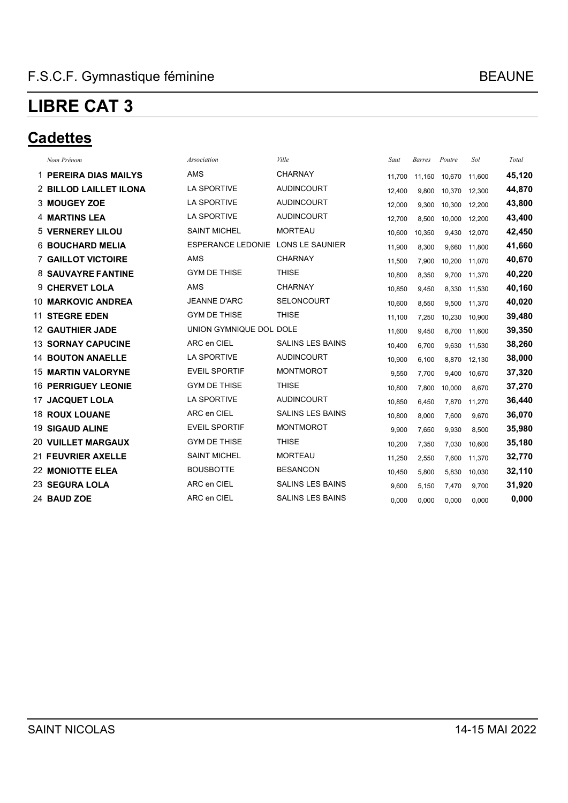#### **Cadettes**

| Nom Prénom                 | Association              | Ville                   | Saut   | <b>Barres</b> | Poutre | Sol    | Total  |
|----------------------------|--------------------------|-------------------------|--------|---------------|--------|--------|--------|
|                            |                          |                         |        |               |        |        |        |
| 1 PEREIRA DIAS MAILYS      | <b>AMS</b>               | <b>CHARNAY</b>          | 11,700 | 11,150        | 10,670 | 11.600 | 45,120 |
| 2 BILLOD LAILLET ILONA     | <b>LA SPORTIVE</b>       | <b>AUDINCOURT</b>       | 12.400 | 9,800         | 10.370 | 12.300 | 44,870 |
| 3 MOUGEY ZOE               | <b>LA SPORTIVE</b>       | <b>AUDINCOURT</b>       | 12,000 | 9,300         | 10,300 | 12,200 | 43,800 |
| <b>4 MARTINS LEA</b>       | <b>LA SPORTIVE</b>       | <b>AUDINCOURT</b>       | 12,700 | 8,500         | 10,000 | 12,200 | 43,400 |
| <b>5 VERNEREY LILOU</b>    | <b>SAINT MICHEL</b>      | <b>MORTEAU</b>          | 10,600 | 10,350        | 9.430  | 12.070 | 42,450 |
| <b>6 BOUCHARD MELIA</b>    | <b>ESPERANCE LEDONIE</b> | <b>LONS LE SAUNIER</b>  | 11,900 | 8,300         | 9,660  | 11,800 | 41,660 |
| <b>7 GAILLOT VICTOIRE</b>  | <b>AMS</b>               | <b>CHARNAY</b>          | 11,500 | 7,900         | 10,200 | 11,070 | 40,670 |
| <b>8 SAUVAYRE FANTINE</b>  | <b>GYM DE THISE</b>      | <b>THISE</b>            | 10.800 | 8,350         | 9,700  | 11,370 | 40,220 |
| 9 CHERVET LOLA             | <b>AMS</b>               | <b>CHARNAY</b>          | 10,850 | 9,450         | 8,330  | 11,530 | 40,160 |
| <b>10 MARKOVIC ANDREA</b>  | <b>JEANNE D'ARC</b>      | <b>SELONCOURT</b>       | 10,600 | 8,550         | 9,500  | 11,370 | 40,020 |
| <b>11 STEGRE EDEN</b>      | <b>GYM DE THISE</b>      | <b>THISE</b>            | 11,100 | 7,250         | 10,230 | 10.900 | 39,480 |
| <b>12 GAUTHIER JADE</b>    | UNION GYMNIQUE DOL DOLE  |                         | 11,600 | 9,450         | 6,700  | 11,600 | 39,350 |
| <b>13 SORNAY CAPUCINE</b>  | ARC en CIEL              | <b>SALINS LES BAINS</b> | 10,400 | 6,700         | 9,630  | 11,530 | 38,260 |
| <b>14 BOUTON ANAELLE</b>   | <b>LA SPORTIVE</b>       | <b>AUDINCOURT</b>       | 10,900 | 6,100         | 8,870  | 12,130 | 38,000 |
| <b>15 MARTIN VALORYNE</b>  | <b>EVEIL SPORTIF</b>     | <b>MONTMOROT</b>        | 9,550  | 7,700         | 9,400  | 10,670 | 37,320 |
| <b>16 PERRIGUEY LEONIE</b> | <b>GYM DE THISE</b>      | <b>THISE</b>            | 10,800 | 7,800         | 10,000 | 8,670  | 37,270 |
| <b>17 JACQUET LOLA</b>     | <b>LA SPORTIVE</b>       | <b>AUDINCOURT</b>       | 10,850 | 6,450         | 7,870  | 11,270 | 36,440 |
| <b>18 ROUX LOUANE</b>      | ARC en CIEL              | <b>SALINS LES BAINS</b> | 10,800 | 8,000         | 7,600  | 9.670  | 36,070 |
| <b>19 SIGAUD ALINE</b>     | <b>EVEIL SPORTIF</b>     | <b>MONTMOROT</b>        | 9,900  | 7,650         | 9,930  | 8,500  | 35,980 |
| <b>20 VUILLET MARGAUX</b>  | <b>GYM DE THISE</b>      | <b>THISE</b>            | 10,200 | 7,350         | 7,030  | 10.600 | 35,180 |
| 21 FEUVRIER AXELLE         | <b>SAINT MICHEL</b>      | <b>MORTEAU</b>          | 11,250 | 2,550         | 7,600  | 11,370 | 32,770 |
| <b>22 MONIOTTE ELEA</b>    | <b>BOUSBOTTE</b>         | <b>BESANCON</b>         | 10,450 | 5,800         | 5,830  | 10,030 | 32,110 |
| 23 SEGURA LOLA             | ARC en CIEL              | <b>SALINS LES BAINS</b> | 9.600  | 5,150         | 7,470  | 9.700  | 31,920 |
| 24 BAUD ZOE                | ARC en CIEL              | <b>SALINS LES BAINS</b> | 0.000  | 0,000         | 0,000  | 0,000  | 0,000  |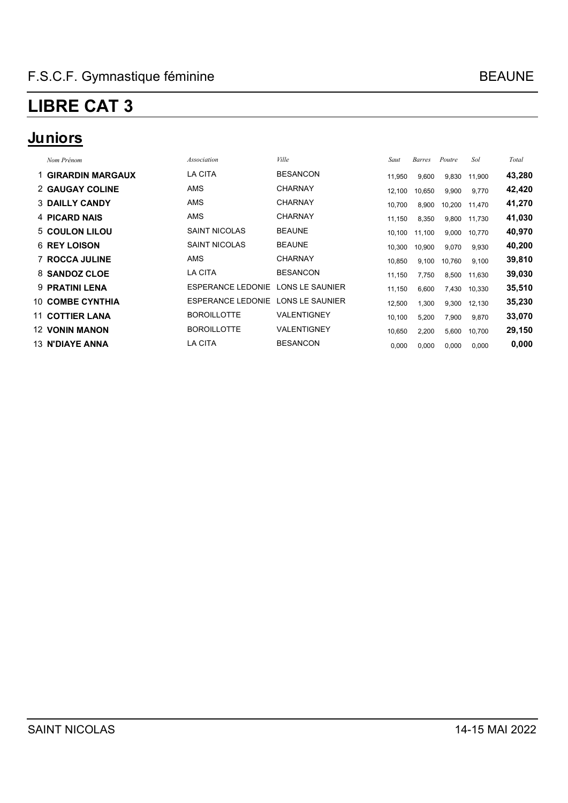### **Juniors**

| Nom Prénom                | Association              | Ville           | Saut   | Barres | Poutre | Sol    | Total  |
|---------------------------|--------------------------|-----------------|--------|--------|--------|--------|--------|
| <b>1 GIRARDIN MARGAUX</b> | LA CITA                  | <b>BESANCON</b> | 11,950 | 9,600  | 9,830  | 11,900 | 43,280 |
| 2 GAUGAY COLINE           | <b>AMS</b>               | <b>CHARNAY</b>  | 12,100 | 10,650 | 9,900  | 9,770  | 42,420 |
| <b>3 DAILLY CANDY</b>     | <b>AMS</b>               | <b>CHARNAY</b>  | 10,700 | 8,900  | 10,200 | 11,470 | 41,270 |
| 4 PICARD NAIS             | AMS                      | <b>CHARNAY</b>  | 11,150 | 8,350  | 9,800  | 11,730 | 41,030 |
| 5 COULON LILOU            | <b>SAINT NICOLAS</b>     | <b>BEAUNE</b>   | 10,100 | 11,100 | 9,000  | 10,770 | 40,970 |
| <b>6 REY LOISON</b>       | <b>SAINT NICOLAS</b>     | <b>BEAUNE</b>   | 10,300 | 10,900 | 9,070  | 9,930  | 40,200 |
| <b>7 ROCCA JULINE</b>     | AMS                      | <b>CHARNAY</b>  | 10,850 | 9,100  | 10,760 | 9,100  | 39,810 |
| 8 SANDOZ CLOE             | LA CITA                  | <b>BESANCON</b> | 11,150 | 7,750  | 8,500  | 11.630 | 39,030 |
| 9 PRATINI LENA            | ESPERANCE LEDONIE        | LONS LE SAUNIER | 11,150 | 6,600  | 7,430  | 10,330 | 35,510 |
| <b>10 COMBE CYNTHIA</b>   | <b>ESPERANCE LEDONIE</b> | LONS LE SAUNIER | 12,500 | 1,300  | 9,300  | 12,130 | 35,230 |
| <b>11 COTTIER LANA</b>    | <b>BOROILLOTTE</b>       | VALENTIGNEY     | 10,100 | 5,200  | 7,900  | 9,870  | 33,070 |
| <b>12 VONIN MANON</b>     | <b>BOROILLOTTE</b>       | VALENTIGNEY     | 10,650 | 2,200  | 5,600  | 10,700 | 29,150 |
| <b>13 N'DIAYE ANNA</b>    | LA CITA                  | <b>BESANCON</b> | 0,000  | 0,000  | 0,000  | 0,000  | 0,000  |